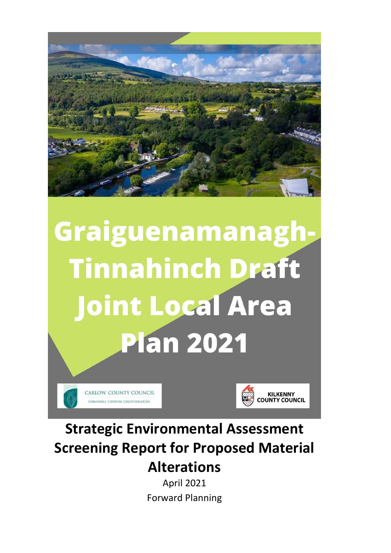

# Graiguenamanagh-**Tinnahinch Draft Joint Local Area Plan 2021**





# **Strategic Environmental Assessment Screening Report for Proposed Material Alterations**

April 2021 Forward Planning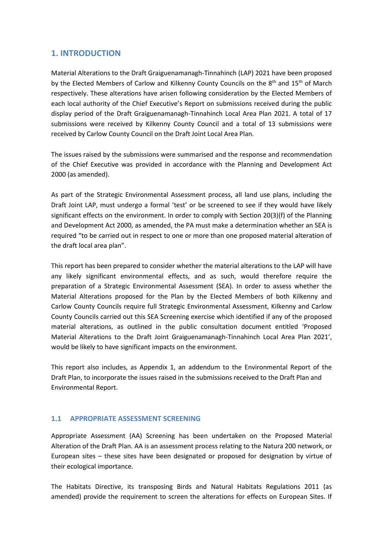# **1. INTRODUCTION**

Material Alterations to the Draft Graiguenamanagh-Tinnahinch (LAP) 2021 have been proposed by the Elected Members of Carlow and Kilkenny County Councils on the 8<sup>th</sup> and 15<sup>th</sup> of March respectively. These alterations have arisen following consideration by the Elected Members of each local authority of the Chief Executive's Report on submissions received during the public display period of the Draft Graiguenamanagh-Tinnahinch Local Area Plan 2021. A total of 17 submissions were received by Kilkenny County Council and a total of 13 submissions were received by Carlow County Council on the Draft Joint Local Area Plan.

The issues raised by the submissions were summarised and the response and recommendation of the Chief Executive was provided in accordance with the Planning and Development Act 2000 (as amended).

As part of the Strategic Environmental Assessment process, all land use plans, including the Draft Joint LAP, must undergo a formal 'test' or be screened to see if they would have likely significant effects on the environment. In order to comply with Section 20(3)(f) of the Planning and Development Act 2000, as amended, the PA must make a determination whether an SEA is required "to be carried out in respect to one or more than one proposed material alteration of the draft local area plan".

This report has been prepared to consider whether the material alterations to the LAP will have any likely significant environmental effects, and as such, would therefore require the preparation of a Strategic Environmental Assessment (SEA). In order to assess whether the Material Alterations proposed for the Plan by the Elected Members of both Kilkenny and Carlow County Councils require full Strategic Environmental Assessment, Kilkenny and Carlow County Councils carried out this SEA Screening exercise which identified if any of the proposed material alterations, as outlined in the public consultation document entitled 'Proposed Material Alterations to the Draft Joint Graiguenamanagh-Tinnahinch Local Area Plan 2021', would be likely to have significant impacts on the environment.

This report also includes, as Appendix 1, an addendum to the Environmental Report of the Draft Plan, to incorporate the issues raised in the submissions received to the Draft Plan and Environmental Report.

# **1.1 APPROPRIATE ASSESSMENT SCREENING**

Appropriate Assessment (AA) Screening has been undertaken on the Proposed Material Alteration of the Draft Plan. AA is an assessment process relating to the Natura 200 network, or European sites – these sites have been designated or proposed for designation by virtue of their ecological importance.

The Habitats Directive, its transposing Birds and Natural Habitats Regulations 2011 (as amended) provide the requirement to screen the alterations for effects on European Sites. If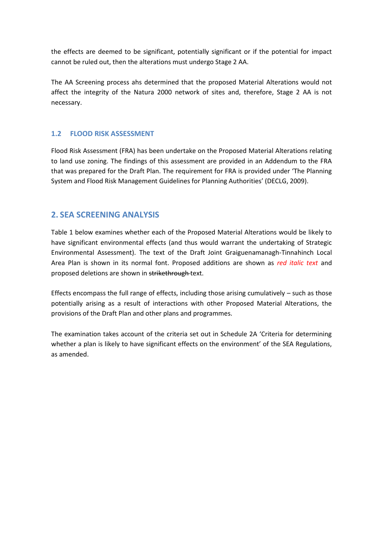the effects are deemed to be significant, potentially significant or if the potential for impact cannot be ruled out, then the alterations must undergo Stage 2 AA.

The AA Screening process ahs determined that the proposed Material Alterations would not affect the integrity of the Natura 2000 network of sites and, therefore, Stage 2 AA is not necessary.

# **1.2 FLOOD RISK ASSESSMENT**

Flood Risk Assessment (FRA) has been undertake on the Proposed Material Alterations relating to land use zoning. The findings of this assessment are provided in an Addendum to the FRA that was prepared for the Draft Plan. The requirement for FRA is provided under 'The Planning System and Flood Risk Management Guidelines for Planning Authorities' (DECLG, 2009).

# **2. SEA SCREENING ANALYSIS**

Table 1 below examines whether each of the Proposed Material Alterations would be likely to have significant environmental effects (and thus would warrant the undertaking of Strategic Environmental Assessment). The text of the Draft Joint Graiguenamanagh-Tinnahinch Local Area Plan is shown in its normal font. Proposed additions are shown as *red italic text* and proposed deletions are shown in strikethrough text.

Effects encompass the full range of effects, including those arising cumulatively  $-$  such as those potentially arising as a result of interactions with other Proposed Material Alterations, the provisions of the Draft Plan and other plans and programmes.

The examination takes account of the criteria set out in Schedule 2A 'Criteria for determining whether a plan is likely to have significant effects on the environment' of the SEA Regulations, as amended.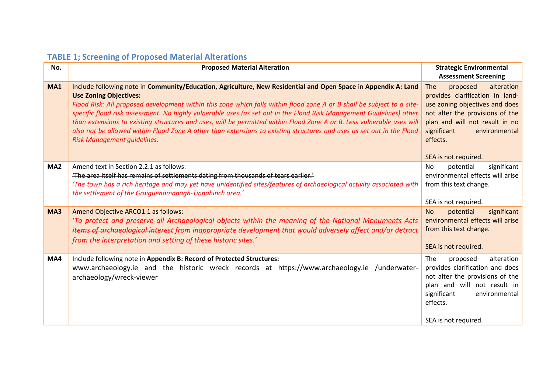| No.             | <b>Proposed Material Alteration</b>                                                                                                                                                                                                                                                                                                                                                                                                                                                                                                                                                                                                                                                 | <b>Strategic Environmental</b><br><b>Assessment Screening</b>                                                                                                                                                                               |
|-----------------|-------------------------------------------------------------------------------------------------------------------------------------------------------------------------------------------------------------------------------------------------------------------------------------------------------------------------------------------------------------------------------------------------------------------------------------------------------------------------------------------------------------------------------------------------------------------------------------------------------------------------------------------------------------------------------------|---------------------------------------------------------------------------------------------------------------------------------------------------------------------------------------------------------------------------------------------|
| <b>MA1</b>      | Include following note in Community/Education, Agriculture, New Residential and Open Space in Appendix A: Land<br><b>Use Zoning Objectives:</b><br>Flood Risk: All proposed development within this zone which falls within flood zone A or B shall be subject to a site-<br>specific flood risk assessment. No highly vulnerable uses (as set out in the Flood Risk Management Guidelines) other<br>than extensions to existing structures and uses, will be permitted within Flood Zone A or B. Less vulnerable uses will<br>also not be allowed within Flood Zone A other than extensions to existing structures and uses as set out in the Flood<br>Risk Management quidelines. | The<br>proposed<br>alteration<br>provides clarification in land-<br>use zoning objectives and does<br>not alter the provisions of the<br>plan and will not result in no<br>significant<br>environmental<br>effects.<br>SEA is not required. |
| MA <sub>2</sub> | Amend text in Section 2.2.1 as follows:<br>'The area itself has remains of settlements dating from thousands of tears earlier.'<br>'The town has a rich heritage and may yet have unidentified sites/features of archaeological activity associated with<br>the settlement of the Graiguenamanagh-Tinnahinch area.'                                                                                                                                                                                                                                                                                                                                                                 | significant<br>potential<br>No<br>environmental effects will arise<br>from this text change.<br>SEA is not required.                                                                                                                        |
| MA3             | Amend Objective ARCO1.1 as follows:<br>'To protect and preserve all Archaeological objects within the meaning of the National Monuments Acts<br>items of archaeological interest from inappropriate development that would adversely affect and/or detract<br>from the interpretation and setting of these historic sites.'                                                                                                                                                                                                                                                                                                                                                         | significant<br>potential<br><b>No</b><br>environmental effects will arise<br>from this text change.<br>SEA is not required.                                                                                                                 |
| MA4             | Include following note in Appendix B: Record of Protected Structures:<br>www.archaeology.ie and the historic wreck records at https://www.archaeology.ie /underwater-<br>archaeology/wreck-viewer                                                                                                                                                                                                                                                                                                                                                                                                                                                                                   | proposed<br>alteration<br>The<br>provides clarification and does<br>not alter the provisions of the<br>plan and will not result in<br>significant<br>environmental<br>effects.<br>SEA is not required.                                      |

# **TABLE 1; Screening of Proposed Material Alterations**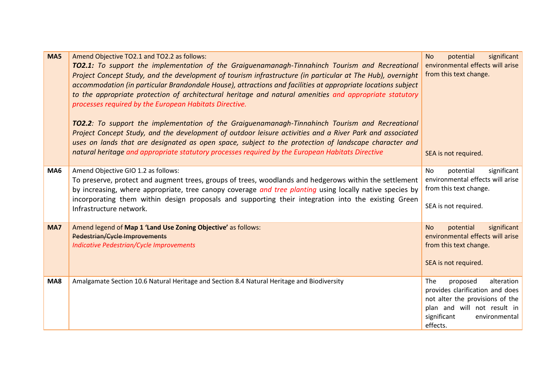| MA5 | Amend Objective TO2.1 and TO2.2 as follows:<br><b>TO2.1:</b> To support the implementation of the Graiguenamanagh-Tinnahinch Tourism and Recreational<br>Project Concept Study, and the development of tourism infrastructure (in particular at The Hub), overnight<br>accommodation (in particular Brandondale House), attractions and facilities at appropriate locations subject<br>to the appropriate protection of architectural heritage and natural amenities and appropriate statutory<br>processes required by the European Habitats Directive.<br><b>TO2.2</b> : To support the implementation of the Graiguenamanagh-Tinnahinch Tourism and Recreational<br>Project Concept Study, and the development of outdoor leisure activities and a River Park and associated<br>uses on lands that are designated as open space, subject to the protection of landscape character and<br>natural heritage and appropriate statutory processes required by the European Habitats Directive | significant<br><b>No</b><br>potential<br>environmental effects will arise<br>from this text change.<br>SEA is not required.                                                    |
|-----|----------------------------------------------------------------------------------------------------------------------------------------------------------------------------------------------------------------------------------------------------------------------------------------------------------------------------------------------------------------------------------------------------------------------------------------------------------------------------------------------------------------------------------------------------------------------------------------------------------------------------------------------------------------------------------------------------------------------------------------------------------------------------------------------------------------------------------------------------------------------------------------------------------------------------------------------------------------------------------------------|--------------------------------------------------------------------------------------------------------------------------------------------------------------------------------|
| MA6 | Amend Objective GIO 1.2 as follows:<br>To preserve, protect and augment trees, groups of trees, woodlands and hedgerows within the settlement<br>by increasing, where appropriate, tree canopy coverage and tree planting using locally native species by<br>incorporating them within design proposals and supporting their integration into the existing Green<br>Infrastructure network.                                                                                                                                                                                                                                                                                                                                                                                                                                                                                                                                                                                                  | potential<br>significant<br>No.<br>environmental effects will arise<br>from this text change.<br>SEA is not required.                                                          |
| MA7 | Amend legend of Map 1 'Land Use Zoning Objective' as follows:<br>Pedestrian/Cycle Improvements<br><b>Indicative Pedestrian/Cycle Improvements</b>                                                                                                                                                                                                                                                                                                                                                                                                                                                                                                                                                                                                                                                                                                                                                                                                                                            | potential<br>significant<br><b>No</b><br>environmental effects will arise<br>from this text change.<br>SEA is not required.                                                    |
| MA8 | Amalgamate Section 10.6 Natural Heritage and Section 8.4 Natural Heritage and Biodiversity                                                                                                                                                                                                                                                                                                                                                                                                                                                                                                                                                                                                                                                                                                                                                                                                                                                                                                   | proposed<br>The<br>alteration<br>provides clarification and does<br>not alter the provisions of the<br>plan and will not result in<br>significant<br>environmental<br>effects. |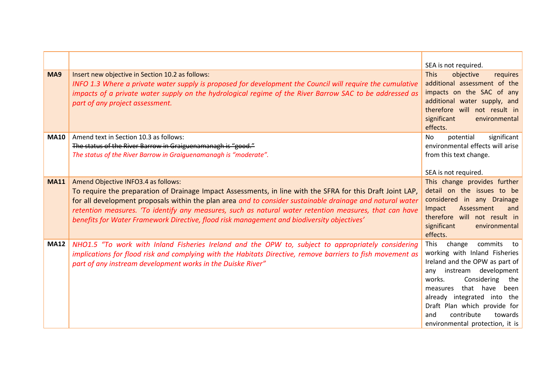|             |                                                                                                                                                                                                                                                                                                                                                                                                                                                                        | SEA is not required.                                                                                                                                                                                                                                                                                                                    |
|-------------|------------------------------------------------------------------------------------------------------------------------------------------------------------------------------------------------------------------------------------------------------------------------------------------------------------------------------------------------------------------------------------------------------------------------------------------------------------------------|-----------------------------------------------------------------------------------------------------------------------------------------------------------------------------------------------------------------------------------------------------------------------------------------------------------------------------------------|
| MA9         | Insert new objective in Section 10.2 as follows:<br>INFO 1.3 Where a private water supply is proposed for development the Council will require the cumulative<br>impacts of a private water supply on the hydrological regime of the River Barrow SAC to be addressed as<br>part of any project assessment.                                                                                                                                                            | objective<br><b>This</b><br>requires<br>additional assessment of the<br>impacts on the SAC of any<br>additional water supply, and<br>therefore will not result in<br>significant<br>environmental<br>effects.                                                                                                                           |
| <b>MA10</b> | Amend text in Section 10.3 as follows:<br>The status of the River Barrow in Graiguenamanagh is "good."<br>The status of the River Barrow in Graiguenamanagh is "moderate".                                                                                                                                                                                                                                                                                             | significant<br>potential<br>No.<br>environmental effects will arise<br>from this text change.<br>SEA is not required.                                                                                                                                                                                                                   |
| <b>MA11</b> | Amend Objective INFO3.4 as follows:<br>To require the preparation of Drainage Impact Assessments, in line with the SFRA for this Draft Joint LAP,<br>for all development proposals within the plan area and to consider sustainable drainage and natural water<br>retention measures. 'To identify any measures, such as natural water retention measures, that can have<br>benefits for Water Framework Directive, flood risk management and biodiversity objectives' | This change provides further<br>detail on the issues to be<br>considered in any Drainage<br>Impact<br>Assessment<br>and<br>therefore will not result in<br>significant<br>environmental<br>effects.                                                                                                                                     |
| <b>MA12</b> | NHO1.5 "To work with Inland Fisheries Ireland and the OPW to, subject to appropriately considering<br>implications for flood risk and complying with the Habitats Directive, remove barriers to fish movement as<br>part of any instream development works in the Duiske River"                                                                                                                                                                                        | This<br>change<br>commits<br>to<br>working with Inland Fisheries<br>Ireland and the OPW as part of<br>development<br>instream<br>any<br>Considering<br>works.<br>the<br>that have been<br>measures<br>already integrated into<br>the<br>Draft Plan which provide for<br>contribute<br>and<br>towards<br>environmental protection, it is |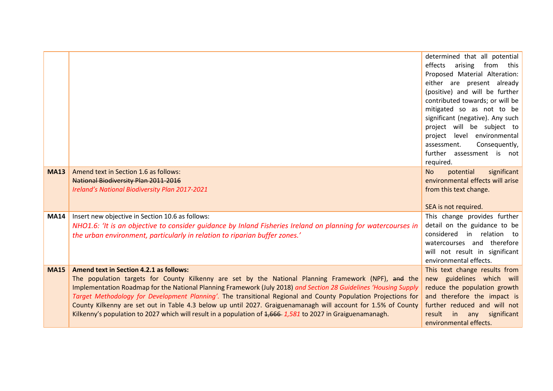|             |                                                                                                                  | determined that all potential                                 |
|-------------|------------------------------------------------------------------------------------------------------------------|---------------------------------------------------------------|
|             |                                                                                                                  | arising from this<br>effects<br>Proposed Material Alteration: |
|             |                                                                                                                  | either are present already                                    |
|             |                                                                                                                  | (positive) and will be further                                |
|             |                                                                                                                  | contributed towards; or will be                               |
|             |                                                                                                                  | mitigated so as not to be                                     |
|             |                                                                                                                  | significant (negative). Any such                              |
|             |                                                                                                                  | project will be subject to                                    |
|             |                                                                                                                  | project level environmental                                   |
|             |                                                                                                                  | Consequently,<br>assessment.<br>further assessment is not     |
|             |                                                                                                                  | required.                                                     |
| <b>MA13</b> | Amend text in Section 1.6 as follows:                                                                            | significant<br>potential<br><b>No</b>                         |
|             | <b>National Biodiversity Plan 2011-2016</b>                                                                      | environmental effects will arise                              |
|             | Ireland's National Biodiversity Plan 2017-2021                                                                   | from this text change.                                        |
|             |                                                                                                                  |                                                               |
|             |                                                                                                                  | SEA is not required.                                          |
| <b>MA14</b> | Insert new objective in Section 10.6 as follows:                                                                 | This change provides further                                  |
|             | NHO1.6: 'It is an objective to consider quidance by Inland Fisheries Ireland on planning for watercourses in     | detail on the guidance to be<br>considered in relation to     |
|             | the urban environment, particularly in relation to riparian buffer zones.'                                       | watercourses and therefore                                    |
|             |                                                                                                                  | will not result in significant                                |
|             |                                                                                                                  | environmental effects.                                        |
| <b>MA15</b> | <b>Amend text in Section 4.2.1 as follows:</b>                                                                   | This text change results from                                 |
|             | The population targets for County Kilkenny are set by the National Planning Framework (NPF), and the             | new guidelines which will                                     |
|             | Implementation Roadmap for the National Planning Framework (July 2018) and Section 28 Guidelines 'Housing Supply | reduce the population growth                                  |
|             | Target Methodology for Development Planning'. The transitional Regional and County Population Projections for    | and therefore the impact is                                   |
|             | County Kilkenny are set out in Table 4.3 below up until 2027. Graiguenamanagh will account for 1.5% of County    | further reduced and will not                                  |
|             | Kilkenny's population to 2027 which will result in a population of 1,666-1,581 to 2027 in Graiguenamanagh.       | significant<br>result<br>in<br>any<br>environmental effects.  |
|             |                                                                                                                  |                                                               |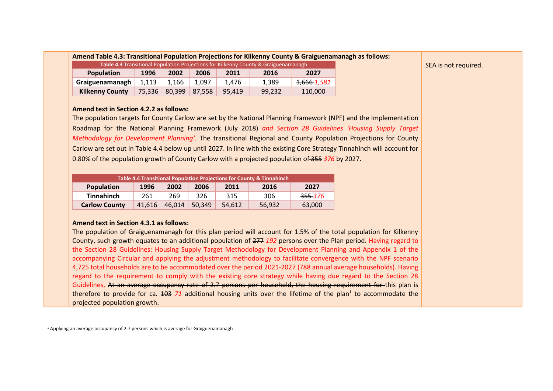| <b>Table 4.3</b> Transitional Population Projections for Kilkenny County & Graiguenamanagh |       |       |       |       |       |                        |
|--------------------------------------------------------------------------------------------|-------|-------|-------|-------|-------|------------------------|
| <b>Population</b><br>1996<br>2006<br>2002<br>2011<br>2016<br>2027                          |       |       |       |       |       |                        |
| Graiguenamanagh                                                                            | 1,113 | 1.166 | 1.097 | 1.476 | 1.389 | <del>1,666</del> 1,581 |
| <b>Kilkenny County</b><br>75,336 80,399<br>87.558<br>99,232<br>95.419                      |       |       |       |       |       | 110,000                |

**Amend text in Section 4.2.2 as follows:** 

The population targets for County Carlow are set by the National Planning Framework (NPF) and the Implementation Roadmap for the National Planning Framework (July 2018) *and Section 28 Guidelines 'Housing Supply Target Methodology for Development Planning'.* The transitional Regional and County Population Projections for County Carlow are set out in Table 4.4 below up until 2027. In line with the existing Core Strategy Tinnahinch will account for 0.80% of the population growth of County Carlow with a projected population of 355 *376* by 2027.

| Table 4.4 Transitional Population Projections for County & Tinnahinch  |     |     |     |     |     |                    |
|------------------------------------------------------------------------|-----|-----|-----|-----|-----|--------------------|
| Population<br>2002<br>2006<br>1996<br>2011<br>2016<br>2027             |     |     |     |     |     |                    |
| <b>Tinnahinch</b>                                                      | 261 | 269 | 326 | 315 | 306 | <del>355</del> 376 |
| <b>Carlow County</b><br>46,014<br>41,616<br>50.349<br>56,932<br>54.612 |     |     |     |     |     | 63,000             |

#### **Amend text in Section 4.3.1 as follows:**

The population of Graiguenamanagh for this plan period will account for 1.5% of the total population for Kilkenny County, such growth equates to an additional population of 277 *192* persons over the Plan period. Having regard to the Section 28 Guidelines: Housing Supply Target Methodology for Development Planning and Appendix 1 of the accompanying Circular and applying the adjustment methodology to facilitate convergence with the NPF scenario 4,725 total households are to be accommodated over the period 2021-2027 (788 annual average households). Having regard to the requirement to comply with the existing core strategy while having due regard to the Section 28 Guidelines. At an average occupancy rate of 2.7 persons per household, the housing requirement for this plan is therefore to provide for ca. <del>103</del> 71 additional housing units over the lifetime of the plan<sup>1</sup> to accommodate the projected population growth.

<sup>1</sup> Applying an average occupancy of 2.7 persons which is average for Graiguenamanagh

-

SEA is not required.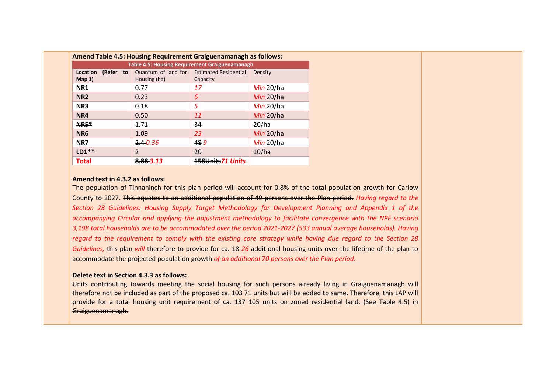|                                                       | Amend Table 4.5: Housing Requirement Graiguenamanagh as follows: |                              |           |  |  |  |  |
|-------------------------------------------------------|------------------------------------------------------------------|------------------------------|-----------|--|--|--|--|
| <b>Table 4.5: Housing Requirement Graiguenamanagh</b> |                                                                  |                              |           |  |  |  |  |
| (Refer to<br>Location                                 | Quantum of land for                                              | <b>Estimated Residential</b> | Density   |  |  |  |  |
| $Map_1$                                               | Housing (ha)                                                     | Capacity                     |           |  |  |  |  |
| NR1                                                   | 0.77                                                             | 17                           | Min 20/ha |  |  |  |  |
| NR <sub>2</sub>                                       | 0.23                                                             | 6                            | Min 20/ha |  |  |  |  |
| NR <sub>3</sub>                                       | 0.18                                                             | 5                            | Min 20/ha |  |  |  |  |
| NR4                                                   | 0.50                                                             | 11                           | Min 20/ha |  |  |  |  |
| <b>NR5*</b>                                           | 1.71                                                             | 34                           | 20/ha     |  |  |  |  |
| NR <sub>6</sub>                                       | 1.09                                                             | 23                           | Min 20/ha |  |  |  |  |
| NR7                                                   | 2.40.36                                                          | 489                          | Min 20/ha |  |  |  |  |
| $LD1**$                                               | $\overline{2}$                                                   | $20^{\circ}$                 | 10/ha     |  |  |  |  |
| Total                                                 | 8.88 3.13                                                        | 158Units71 Units             |           |  |  |  |  |

#### **Amend text in 4.3.2 as follows:**

The population of Tinnahinch for this plan period will account for 0.8% of the total population growth for Carlow County to 2027. This equates to an additional population of 49 persons over the Plan period. *Having regard to the Section 28 Guidelines: Housing Supply Target Methodology for Development Planning and Appendix 1 of the accompanying Circular and applying the adjustment methodology to facilitate convergence with the NPF scenario 3,198 total households are to be accommodated over the period 2021-2027 (533 annual average households). Having regard to the requirement to comply with the existing core strategy while having due regard to the Section 28 Guidelines,* this plan *will* therefore to provide for ca. 18 26 additional housing units over the lifetime of the plan to accommodate the projected population growth *of an additional 70 persons over the Plan period.* 

#### **Delete text in Section 4.3.3 as follows:**

Units contributing towards meeting the social housing for such persons already living in Graiguenamanagh will therefore not be included as part of the proposed ca. 103 71 units but will be added to same. Therefore, this LAP will provide for a total housing unit requirement of ca. 137 105 units on zoned residential land. (See Table 4.5) in Graiguenamanagh.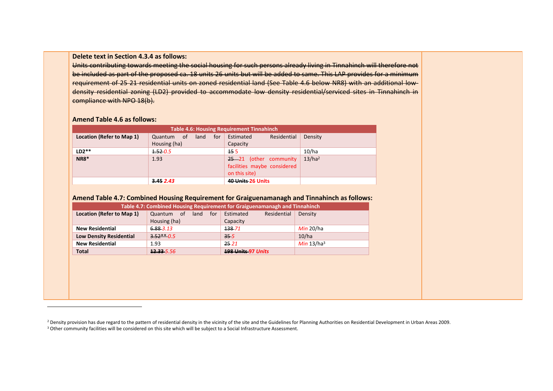#### **Delete text in Section 4.3.4 as follows:**

Units contributing towards meeting the social housing for such persons already living in Tinnahinch will therefore not be included as part of the proposed ca. 18 units 26 units but will be added to same. This LAP provides for a minimum requirement of 25 21 residential units on zoned residential land (See Table 4.6 below NR8) with an additional lowdensity residential zoning (LD2) provided to accommodate low density residential/serviced sites in Tinnahinch in compliance with NPO 18(b).

#### **Amend Table 4.6 as follows:**

-

| <b>Table 4.6: Housing Requirement Tinnahinch</b> |                                              |                                                                        |                    |  |  |  |
|--------------------------------------------------|----------------------------------------------|------------------------------------------------------------------------|--------------------|--|--|--|
| Location (Refer to Map 1)                        | for<br>land<br>of<br>Quantum<br>Housing (ha) | Residential<br>Estimated<br>Capacity                                   | Density            |  |  |  |
| $LD2**$                                          | 4.520.5                                      | 45 <sub>5</sub>                                                        | 10/ha              |  |  |  |
| <b>NR8*</b>                                      | 1.93                                         | 25-21 (other community<br>facilities maybe considered<br>on this site) | 13/ha <sup>2</sup> |  |  |  |
|                                                  | 3.452.43                                     | 40 Units 26 Units                                                      |                    |  |  |  |

#### **Amend Table 4.7: Combined Housing Requirement for Graiguenamanagh and Tinnahinch as follows:**

| Table 4.7: Combined Housing Requirement for Graiguenamanagh and Tinnahinch |                           |                           |               |  |  |  |
|----------------------------------------------------------------------------|---------------------------|---------------------------|---------------|--|--|--|
| Location (Refer to Map 1)                                                  | for<br>Quantum of<br>land | Residential<br>Estimated  | Density       |  |  |  |
|                                                                            | Housing (ha)              | Capacity                  |               |  |  |  |
| <b>New Residential</b>                                                     | $6.88 - 3.13$             | 138 71                    | Min 20/ha     |  |  |  |
| <b>Low Density Residential</b>                                             | $3.52**0.5$               | 35.5                      | 10/ha         |  |  |  |
| <b>New Residential</b>                                                     | 1.93                      | 25 21                     | Min $13/ha^3$ |  |  |  |
| <b>Total</b>                                                               | 12.33 5.56                | <b>198 Units 97 Units</b> |               |  |  |  |
|                                                                            |                           |                           |               |  |  |  |

<sup>&</sup>lt;sup>2</sup> Density provision has due regard to the pattern of residential density in the vicinity of the site and the Guidelines for Planning Authorities on Residential Development in Urban Areas 2009. <sup>3</sup> Other community facilities will be considered on this site which will be subject to a Social Infrastructure Assessment.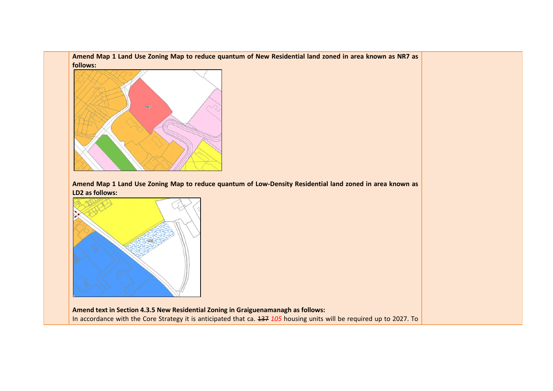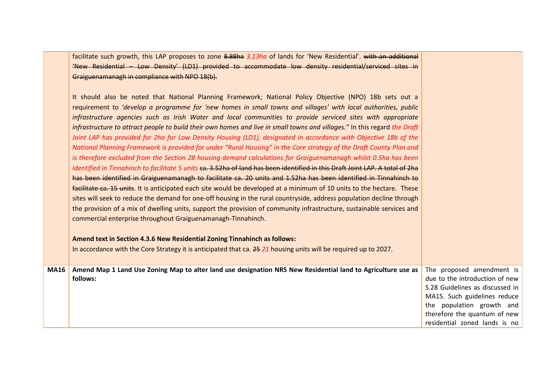facilitate such growth, this LAP proposes to zone 8.88ha *3.13ha* of lands for 'New Residential'. with an additional 'New Residential – Low Density' (LD1) provided to accommodate low density residential/serviced sites in Graiguenamanagh in compliance with NPO 18(b).

|      | It should also be noted that National Planning Framework; National Policy Objective (NPO) 18b sets out a<br>requirement to 'develop a programme for 'new homes in small towns and villages' with local authorities, public<br>infrastructure agencies such as Irish Water and local communities to provide serviced sites with appropriate<br>infrastructure to attract people to build their own homes and live in small towns and villages." In this regard the Draft<br>Joint LAP has provided for 2ha for Low Density Housing (LD1), designated in accordance with Objective 18b of the<br>National Planning Framework is provided for under "Rural Housing" in the Core strategy of the Draft County Plan and<br>is therefore excluded from the Section 28 housing demand calculations for Graiguenamanagh whilst 0.5ha has been<br>identified in Tinnahinch to facilitate 5 units ca. 3.52ha of land has been identified in this Draft Joint LAP. A total of 2ha<br>has been identified in Graiguenamanagh to facilitate ca. 20 units and 1.52ha has been identified in Tinnahinch to<br>facilitate ca. 15 units. It is anticipated each site would be developed at a minimum of 10 units to the hectare. These<br>sites will seek to reduce the demand for one-off housing in the rural countryside, address population decline through<br>the provision of a mix of dwelling units, support the provision of community infrastructure, sustainable services and<br>commercial enterprise throughout Graiguenamanagh-Tinnahinch.<br>Amend text in Section 4.3.6 New Residential Zoning Tinnahinch as follows:<br>In accordance with the Core Strategy it is anticipated that ca. 25 21 housing units will be required up to 2027. |                                                                                                                                                                                                                              |
|------|------------------------------------------------------------------------------------------------------------------------------------------------------------------------------------------------------------------------------------------------------------------------------------------------------------------------------------------------------------------------------------------------------------------------------------------------------------------------------------------------------------------------------------------------------------------------------------------------------------------------------------------------------------------------------------------------------------------------------------------------------------------------------------------------------------------------------------------------------------------------------------------------------------------------------------------------------------------------------------------------------------------------------------------------------------------------------------------------------------------------------------------------------------------------------------------------------------------------------------------------------------------------------------------------------------------------------------------------------------------------------------------------------------------------------------------------------------------------------------------------------------------------------------------------------------------------------------------------------------------------------------------------------------------------------------------------------------------------------------------|------------------------------------------------------------------------------------------------------------------------------------------------------------------------------------------------------------------------------|
| MA16 | Amend Map 1 Land Use Zoning Map to alter land use designation NR5 New Residential land to Agriculture use as<br>follows:                                                                                                                                                                                                                                                                                                                                                                                                                                                                                                                                                                                                                                                                                                                                                                                                                                                                                                                                                                                                                                                                                                                                                                                                                                                                                                                                                                                                                                                                                                                                                                                                                 | The proposed amendment is<br>due to the introduction of new<br>S.28 Guidelines as discussed in<br>MA15. Such guidelines reduce<br>the population growth and<br>therefore the quantum of new<br>residential zoned lands is no |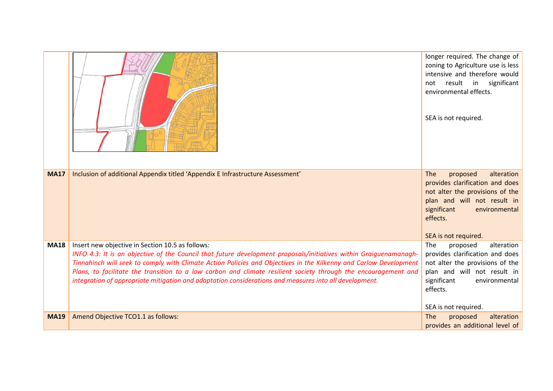|             |                                                                                                                                                                                                                                                                                                                                                                                                                                                                                                                         | longer required. The change of<br>zoning to Agriculture use is less<br>intensive and therefore would<br>result in significant<br>not<br>environmental effects.<br>SEA is not required.                        |
|-------------|-------------------------------------------------------------------------------------------------------------------------------------------------------------------------------------------------------------------------------------------------------------------------------------------------------------------------------------------------------------------------------------------------------------------------------------------------------------------------------------------------------------------------|---------------------------------------------------------------------------------------------------------------------------------------------------------------------------------------------------------------|
| <b>MA17</b> | Inclusion of additional Appendix titled 'Appendix E Infrastructure Assessment'                                                                                                                                                                                                                                                                                                                                                                                                                                          | alteration<br><b>The</b><br>proposed<br>provides clarification and does<br>not alter the provisions of the<br>plan and will not result in<br>significant<br>environmental<br>effects.<br>SEA is not required. |
| <b>MA18</b> | Insert new objective in Section 10.5 as follows:<br>INFO 4.3: It is an objective of the Council that future development proposals/initiatives within Graiguenamanagh-<br>Tinnahinch will seek to comply with Climate Action Policies and Objectives in the Kilkenny and Carlow Development<br>Plans, to facilitate the transition to a low carbon and climate resilient society through the encouragement and<br>integration of appropriate mitigation and adaptation considerations and measures into all development. | alteration<br>The<br>proposed<br>provides clarification and does<br>not alter the provisions of the<br>plan and will not result in<br>significant<br>environmental<br>effects.<br>SEA is not required.        |
| <b>MA19</b> | Amend Objective TCO1.1 as follows:                                                                                                                                                                                                                                                                                                                                                                                                                                                                                      | alteration<br>The<br>proposed<br>provides an additional level of                                                                                                                                              |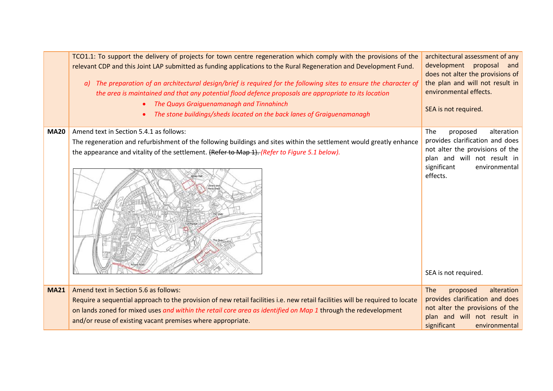|             | TCO1.1: To support the delivery of projects for town centre regeneration which comply with the provisions of the<br>relevant CDP and this Joint LAP submitted as funding applications to the Rural Regeneration and Development Fund.<br>a) The preparation of an architectural design/brief is required for the following sites to ensure the character of<br>the area is maintained and that any potential flood defence proposals are appropriate to its location<br>The Quays Graiguenamanagh and Tinnahinch<br>The stone buildings/sheds located on the back lanes of Graiguenamanagh | architectural assessment of any<br>development proposal<br>and<br>does not alter the provisions of<br>the plan and will not result in<br>environmental effects.<br>SEA is not required.                |
|-------------|--------------------------------------------------------------------------------------------------------------------------------------------------------------------------------------------------------------------------------------------------------------------------------------------------------------------------------------------------------------------------------------------------------------------------------------------------------------------------------------------------------------------------------------------------------------------------------------------|--------------------------------------------------------------------------------------------------------------------------------------------------------------------------------------------------------|
| <b>MA20</b> | Amend text in Section 5.4.1 as follows:<br>The regeneration and refurbishment of the following buildings and sites within the settlement would greatly enhance<br>the appearance and vitality of the settlement. (Refer to Map 1). (Refer to Figure 5.1 below).<br>Library and<br>Menis Shed                                                                                                                                                                                                                                                                                               | The<br>proposed<br>alteration<br>provides clarification and does<br>not alter the provisions of the<br>plan and will not result in<br>significant<br>environmental<br>effects.<br>SEA is not required. |
| <b>MA21</b> | Amend text in Section 5.6 as follows:<br>Require a sequential approach to the provision of new retail facilities i.e. new retail facilities will be required to locate<br>on lands zoned for mixed uses and within the retail core area as identified on Map 1 through the redevelopment<br>and/or reuse of existing vacant premises where appropriate.                                                                                                                                                                                                                                    | The<br>alteration<br>proposed<br>provides clarification and does<br>not alter the provisions of the<br>plan and will not result in<br>significant<br>environmental                                     |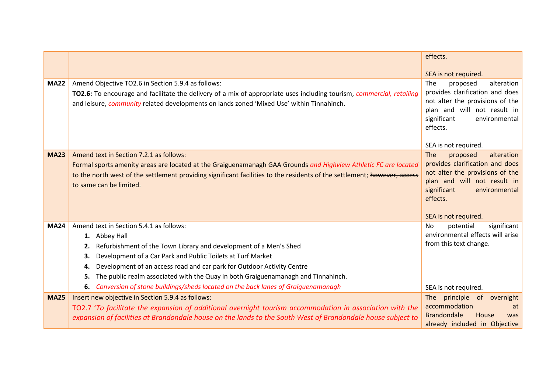|             |                                                                                                                                                                                                                                                                          | effects.                                                                                            |
|-------------|--------------------------------------------------------------------------------------------------------------------------------------------------------------------------------------------------------------------------------------------------------------------------|-----------------------------------------------------------------------------------------------------|
|             |                                                                                                                                                                                                                                                                          | SEA is not required.                                                                                |
| <b>MA22</b> | Amend Objective TO2.6 in Section 5.9.4 as follows:<br>TO2.6: To encourage and facilitate the delivery of a mix of appropriate uses including tourism, commercial, retailing<br>and leisure, community related developments on lands zoned 'Mixed Use' within Tinnahinch. | proposed<br>The<br>alteration<br>provides clarification and does<br>not alter the provisions of the |
|             |                                                                                                                                                                                                                                                                          | plan and will not result in<br>significant<br>environmental<br>effects.                             |
|             |                                                                                                                                                                                                                                                                          | SEA is not required.                                                                                |
| <b>MA23</b> | Amend text in Section 7.2.1 as follows:                                                                                                                                                                                                                                  | The<br>proposed<br>alteration                                                                       |
|             | Formal sports amenity areas are located at the Graiguenamanagh GAA Grounds and Highview Athletic FC are located                                                                                                                                                          | provides clarification and does<br>not alter the provisions of the                                  |
|             | to the north west of the settlement providing significant facilities to the residents of the settlement; however, access<br>to same can be limited.                                                                                                                      | plan and will not result in                                                                         |
|             |                                                                                                                                                                                                                                                                          | significant<br>environmental<br>effects.                                                            |
|             |                                                                                                                                                                                                                                                                          | SEA is not required.                                                                                |
| <b>MA24</b> | Amend text in Section 5.4.1 as follows:                                                                                                                                                                                                                                  | potential<br>significant<br><b>No</b>                                                               |
|             | 1. Abbey Hall                                                                                                                                                                                                                                                            | environmental effects will arise                                                                    |
|             | Refurbishment of the Town Library and development of a Men's Shed<br>2.                                                                                                                                                                                                  | from this text change.                                                                              |
|             | Development of a Car Park and Public Toilets at Turf Market<br>3.                                                                                                                                                                                                        |                                                                                                     |
|             | Development of an access road and car park for Outdoor Activity Centre<br>4.                                                                                                                                                                                             |                                                                                                     |
|             | The public realm associated with the Quay in both Graiguenamanagh and Tinnahinch.<br>5.                                                                                                                                                                                  |                                                                                                     |
|             | Conversion of stone buildings/sheds located on the back lanes of Graiguenamanagh<br>6.                                                                                                                                                                                   | SEA is not required.                                                                                |
| <b>MA25</b> | Insert new objective in Section 5.9.4 as follows:                                                                                                                                                                                                                        | The principle<br>of overnight                                                                       |
|             | TO2.7 'To facilitate the expansion of additional overnight tourism accommodation in association with the<br>expansion of facilities at Brandondale house on the lands to the South West of Brandondale house subject to                                                  | accommodation<br>at<br><b>Brandondale</b><br>House<br><b>was</b>                                    |
|             |                                                                                                                                                                                                                                                                          | already included in Objective                                                                       |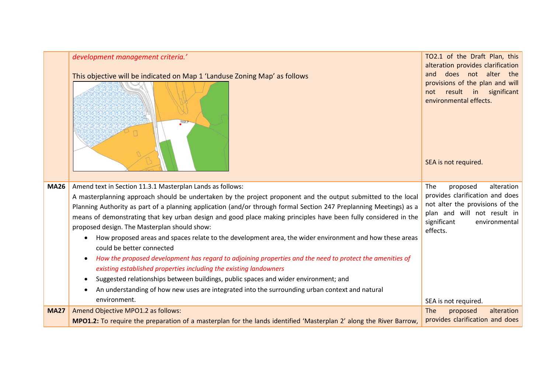|             | development management criteria.'<br>This objective will be indicated on Map 1 'Landuse Zoning Map' as follows<br>TOZ.7                                                                    | TO2.1 of the Draft Plan, this<br>alteration provides clarification<br>does not alter the<br>and<br>provisions of the plan and will<br>result in significant<br>not<br>environmental effects.<br>SEA is not required. |
|-------------|--------------------------------------------------------------------------------------------------------------------------------------------------------------------------------------------|----------------------------------------------------------------------------------------------------------------------------------------------------------------------------------------------------------------------|
| <b>MA26</b> | Amend text in Section 11.3.1 Masterplan Lands as follows:<br>A masterplanning approach should be undertaken by the project proponent and the output submitted to the local                 | The<br>proposed<br>alteration<br>provides clarification and does                                                                                                                                                     |
|             | Planning Authority as part of a planning application (and/or through formal Section 247 Preplanning Meetings) as a                                                                         | not alter the provisions of the<br>plan and will not result in                                                                                                                                                       |
|             | means of demonstrating that key urban design and good place making principles have been fully considered in the<br>proposed design. The Masterplan should show:                            | significant<br>environmental<br>effects.                                                                                                                                                                             |
|             | How proposed areas and spaces relate to the development area, the wider environment and how these areas<br>could be better connected                                                       |                                                                                                                                                                                                                      |
|             | How the proposed development has regard to adjoining properties and the need to protect the amenities of<br>$\bullet$<br>existing established properties including the existing landowners |                                                                                                                                                                                                                      |
|             | Suggested relationships between buildings, public spaces and wider environment; and<br>$\bullet$                                                                                           |                                                                                                                                                                                                                      |
|             | An understanding of how new uses are integrated into the surrounding urban context and natural                                                                                             |                                                                                                                                                                                                                      |
|             | environment.                                                                                                                                                                               | SEA is not required.                                                                                                                                                                                                 |
| <b>MA27</b> | Amend Objective MPO1.2 as follows:                                                                                                                                                         | The<br>alteration<br>proposed                                                                                                                                                                                        |
|             | MPO1.2: To require the preparation of a masterplan for the lands identified 'Masterplan 2' along the River Barrow,                                                                         | provides clarification and does                                                                                                                                                                                      |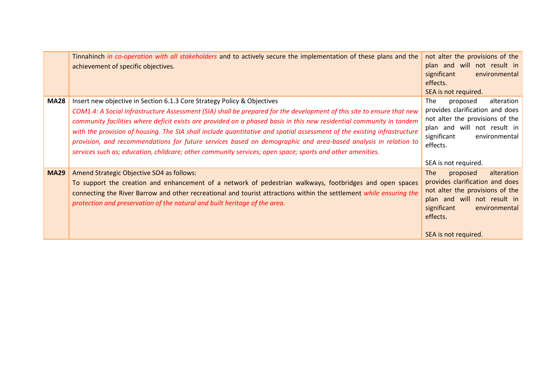|             | Tinnahinch in co-operation with all stakeholders and to actively secure the implementation of these plans and the<br>achievement of specific objectives.                                                                                                                                                                                                                                                                                                                                                                                                                                                                                                                            | not alter the provisions of the<br>plan and will not result in<br>significant<br>environmental<br>effects.<br>SEA is not required.                                                                                                    |
|-------------|-------------------------------------------------------------------------------------------------------------------------------------------------------------------------------------------------------------------------------------------------------------------------------------------------------------------------------------------------------------------------------------------------------------------------------------------------------------------------------------------------------------------------------------------------------------------------------------------------------------------------------------------------------------------------------------|---------------------------------------------------------------------------------------------------------------------------------------------------------------------------------------------------------------------------------------|
| <b>MA28</b> | Insert new objective in Section 6.1.3 Core Strategy Policy & Objectives<br>COM1.4: A Social Infrastructure Assessment (SIA) shall be prepared for the development of this site to ensure that new<br>community facilities where deficit exists are provided on a phased basis in this new residential community in tandem<br>with the provision of housing. The SIA shall include quantitative and spatial assessment of the existing infrastructure<br>provision, and recommendations for future services based on demographic and area-based analysis in relation to<br>services such as; education, childcare; other community services; open space; sports and other amenities. | The<br>alteration<br>proposed<br>provides clarification and does<br>not alter the provisions of the<br>plan and will not result in<br>significant<br>environmental<br>effects.                                                        |
| <b>MA29</b> | Amend Strategic Objective SO4 as follows:<br>To support the creation and enhancement of a network of pedestrian walkways, footbridges and open spaces<br>connecting the River Barrow and other recreational and tourist attractions within the settlement while ensuring the<br>protection and preservation of the natural and built heritage of the area.                                                                                                                                                                                                                                                                                                                          | SEA is not required.<br><b>The</b><br>proposed<br>alteration<br>provides clarification and does<br>not alter the provisions of the<br>plan and will not result in<br>significant<br>environmental<br>effects.<br>SEA is not required. |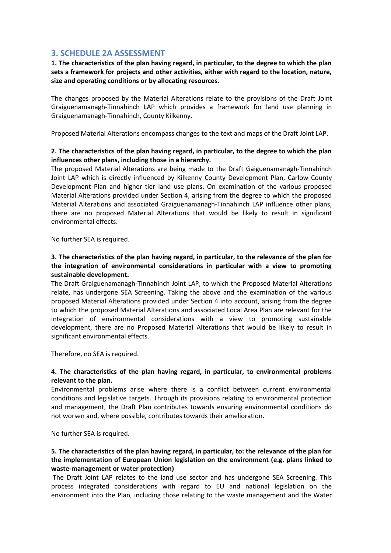# **3. SCHEDULE 2A ASSESSMENT**

**1. The characteristics of the plan having regard, in particular, to the degree to which the plan sets a framework for projects and other activities, either with regard to the location, nature, size and operating conditions or by allocating resources.** 

The changes proposed by the Material Alterations relate to the provisions of the Draft Joint Graiguenamanagh-Tinnahinch LAP which provides a framework for land use planning in Graiguenamanagh-Tinnahinch, County Kilkenny.

Proposed Material Alterations encompass changes to the text and maps of the Draft Joint LAP.

# **2. The characteristics of the plan having regard, in particular, to the degree to which the plan influences other plans, including those in a hierarchy.**

The proposed Material Alterations are being made to the Draft Gaiguenamanagh-Tinnahinch Joint LAP which is directly influenced by Kilkenny County Development Plan, Carlow County Development Plan and higher tier land use plans. On examination of the various proposed Material Alterations provided under Section 4, arising from the degree to which the proposed Material Alterations and associated Graiguenamanagh-Tinnahinch LAP influence other plans, there are no proposed Material Alterations that would be likely to result in significant environmental effects.

No further SEA is required.

# **3. The characteristics of the plan having regard, in particular, to the relevance of the plan for the integration of environmental considerations in particular with a view to promoting sustainable development.**

The Draft Graiguenamanagh-Tinnahinch Joint LAP, to which the Proposed Material Alterations relate, has undergone SEA Screening. Taking the above and the examination of the various proposed Material Alterations provided under Section 4 into account, arising from the degree to which the proposed Material Alterations and associated Local Area Plan are relevant for the integration of environmental considerations with a view to promoting sustainable development, there are no Proposed Material Alterations that would be likely to result in significant environmental effects.

Therefore, no SEA is required.

# **4. The characteristics of the plan having regard, in particular, to environmental problems relevant to the plan.**

Environmental problems arise where there is a conflict between current environmental conditions and legislative targets. Through its provisions relating to environmental protection and management, the Draft Plan contributes towards ensuring environmental conditions do not worsen and, where possible, contributes towards their amelioration.

No further SEA is required.

# **5. The characteristics of the plan having regard, in particular, to: the relevance of the plan for the implementation of European Union legislation on the environment (e.g. plans linked to waste-management or water protection)**

The Draft Joint LAP relates to the land use sector and has undergone SEA Screening. This process integrated considerations with regard to EU and national legislation on the environment into the Plan, including those relating to the waste management and the Water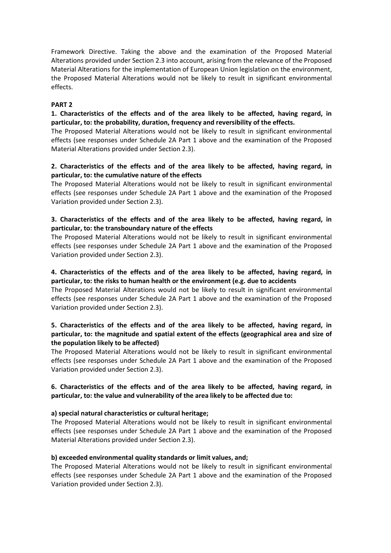Framework Directive. Taking the above and the examination of the Proposed Material Alterations provided under Section 2.3 into account, arising from the relevance of the Proposed Material Alterations for the implementation of European Union legislation on the environment, the Proposed Material Alterations would not be likely to result in significant environmental effects.

#### **PART 2**

**1. Characteristics of the effects and of the area likely to be affected, having regard, in particular, to: the probability, duration, frequency and reversibility of the effects.**

The Proposed Material Alterations would not be likely to result in significant environmental effects (see responses under Schedule 2A Part 1 above and the examination of the Proposed Material Alterations provided under Section 2.3).

# **2. Characteristics of the effects and of the area likely to be affected, having regard, in particular, to: the cumulative nature of the effects**

The Proposed Material Alterations would not be likely to result in significant environmental effects (see responses under Schedule 2A Part 1 above and the examination of the Proposed Variation provided under Section 2.3).

# **3. Characteristics of the effects and of the area likely to be affected, having regard, in particular, to: the transboundary nature of the effects**

The Proposed Material Alterations would not be likely to result in significant environmental effects (see responses under Schedule 2A Part 1 above and the examination of the Proposed Variation provided under Section 2.3).

# **4. Characteristics of the effects and of the area likely to be affected, having regard, in particular, to: the risks to human health or the environment (e.g. due to accidents**

The Proposed Material Alterations would not be likely to result in significant environmental effects (see responses under Schedule 2A Part 1 above and the examination of the Proposed Variation provided under Section 2.3).

# **5. Characteristics of the effects and of the area likely to be affected, having regard, in particular, to: the magnitude and spatial extent of the effects (geographical area and size of the population likely to be affected)**

The Proposed Material Alterations would not be likely to result in significant environmental effects (see responses under Schedule 2A Part 1 above and the examination of the Proposed Variation provided under Section 2.3).

# **6. Characteristics of the effects and of the area likely to be affected, having regard, in particular, to: the value and vulnerability of the area likely to be affected due to:**

#### **a) special natural characteristics or cultural heritage;**

The Proposed Material Alterations would not be likely to result in significant environmental effects (see responses under Schedule 2A Part 1 above and the examination of the Proposed Material Alterations provided under Section 2.3).

#### **b) exceeded environmental quality standards or limit values, and;**

The Proposed Material Alterations would not be likely to result in significant environmental effects (see responses under Schedule 2A Part 1 above and the examination of the Proposed Variation provided under Section 2.3).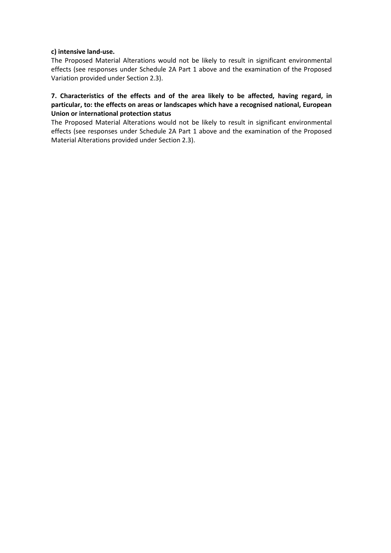#### **c) intensive land-use.**

The Proposed Material Alterations would not be likely to result in significant environmental effects (see responses under Schedule 2A Part 1 above and the examination of the Proposed Variation provided under Section 2.3).

**7. Characteristics of the effects and of the area likely to be affected, having regard, in particular, to: the effects on areas or landscapes which have a recognised national, European Union or international protection status**

The Proposed Material Alterations would not be likely to result in significant environmental effects (see responses under Schedule 2A Part 1 above and the examination of the Proposed Material Alterations provided under Section 2.3).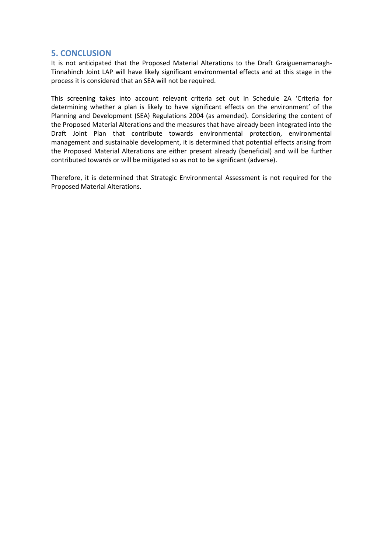# **5. CONCLUSION**

It is not anticipated that the Proposed Material Alterations to the Draft Graiguenamanagh-Tinnahinch Joint LAP will have likely significant environmental effects and at this stage in the process it is considered that an SEA will not be required.

This screening takes into account relevant criteria set out in Schedule 2A 'Criteria for determining whether a plan is likely to have significant effects on the environment' of the Planning and Development (SEA) Regulations 2004 (as amended). Considering the content of the Proposed Material Alterations and the measures that have already been integrated into the Draft Joint Plan that contribute towards environmental protection, environmental management and sustainable development, it is determined that potential effects arising from the Proposed Material Alterations are either present already (beneficial) and will be further contributed towards or will be mitigated so as not to be significant (adverse).

Therefore, it is determined that Strategic Environmental Assessment is not required for the Proposed Material Alterations.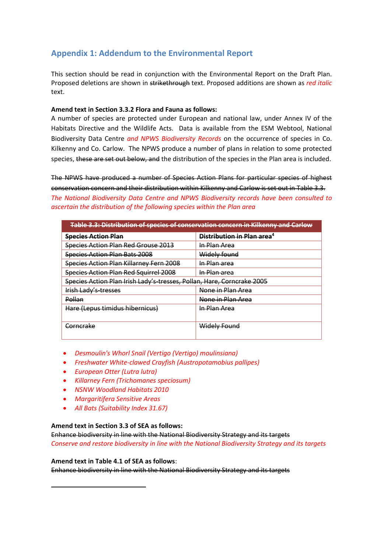# **Appendix 1: Addendum to the Environmental Report**

This section should be read in conjunction with the Environmental Report on the Draft Plan. Proposed deletions are shown in strikethrough text. Proposed additions are shown as *red italic* text.

#### **Amend text in Section 3.3.2 Flora and Fauna as follows:**

A number of species are protected under European and national law, under Annex IV of the Habitats Directive and the Wildlife Acts. Data is available from the ESM Webtool, National Biodiversity Data Centre *and NPWS Biodiversity Records* on the occurrence of species in Co. Kilkenny and Co. Carlow. The NPWS produce a number of plans in relation to some protected species, these are set out below, and the distribution of the species in the Plan area is included.

The NPWS have produced a number of Species Action Plans for particular species of highest conservation concern and their distribution within Kilkenny and Carlow is set out in Table 3.3. *The National Biodiversity Data Centre and NPWS Biodiversity records have been consulted to ascertain the distribution of the following species within the Plan area* 

| Table 3.3: Distribution of species of conservation concern in Kilkenny and Carlow |                                        |  |  |  |
|-----------------------------------------------------------------------------------|----------------------------------------|--|--|--|
| <b>Species Action Plan</b>                                                        | Distribution in Plan area <sup>4</sup> |  |  |  |
| Species Action Plan Red Grouse 2013                                               | In Plan Area                           |  |  |  |
| <b>Species Action Plan Bats 2008</b>                                              | Widely found                           |  |  |  |
| Species Action Plan Killarney Fern 2008                                           | In Plan area                           |  |  |  |
| Species Action Plan Red Squirrel 2008                                             | <u>In Plan area</u>                    |  |  |  |
| Species Action Plan Irish Lady's-tresses, Pollan, Hare, Corncrake 2005            |                                        |  |  |  |
| <b>Irish Lady's tresses</b>                                                       | None in Plan Area                      |  |  |  |
| Pollan                                                                            | None in Plan Area                      |  |  |  |
| Hare (Lepus timidus hibernicus)                                                   | In Plan Area                           |  |  |  |
| <del>Corncrake</del>                                                              | Widely Found                           |  |  |  |

- *Desmoulin's Whorl Snail (Vertigo (Vertigo) moulinsiana)*
- *Freshwater White-clawed Crayfish (Austropotamobius pallipes)*
- *European Otter (Lutra lutra)*
- *Killarney Fern (Trichomanes speciosum)*
- *NSNW Woodland Habitats 2010*
- *Margaritifera Sensitive Areas*
- *All Bats (Suitability Index 31.67)*

#### **Amend text in Section 3.3 of SEA as follows:**

Enhance biodiversity in line with the National Biodiversity Strategy and its targets *Conserve and restore biodiversity in line with the National Biodiversity Strategy and its targets*

#### **Amend text in Table 4.1 of SEA as follows**:

Enhance biodiversity in line with the National Biodiversity Strategy and its targets

**.**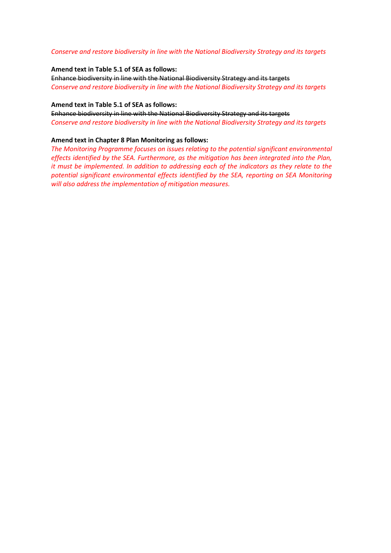#### *Conserve and restore biodiversity in line with the National Biodiversity Strategy and its targets*

#### **Amend text in Table 5.1 of SEA as follows:**

Enhance biodiversity in line with the National Biodiversity Strategy and its targets *Conserve and restore biodiversity in line with the National Biodiversity Strategy and its targets*

#### **Amend text in Table 5.1 of SEA as follows:**

Enhance biodiversity in line with the National Biodiversity Strategy and its targets *Conserve and restore biodiversity in line with the National Biodiversity Strategy and its targets*

#### **Amend text in Chapter 8 Plan Monitoring as follows:**

*The Monitoring Programme focuses on issues relating to the potential significant environmental effects identified by the SEA. Furthermore, as the mitigation has been integrated into the Plan, it must be implemented. In addition to addressing each of the indicators as they relate to the potential significant environmental effects identified by the SEA, reporting on SEA Monitoring will also address the implementation of mitigation measures.*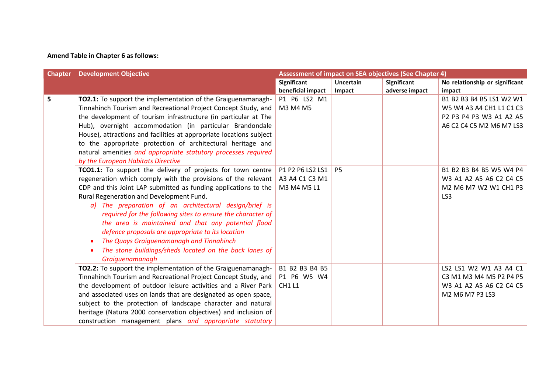# **Amend Table in Chapter 6 as follows:**

|   | <b>Chapter</b> Development Objective<br><b>Assessment of impact on SEA objectives (See Chapter 4)</b> |                    |           |                    |                                |
|---|-------------------------------------------------------------------------------------------------------|--------------------|-----------|--------------------|--------------------------------|
|   |                                                                                                       | <b>Significant</b> | Uncertain | <b>Significant</b> | No relationship or significant |
|   |                                                                                                       | beneficial impact  | Impact    | adverse impact     | impact                         |
| 5 | <b>TO2.1:</b> To support the implementation of the Graiguenamanagh-                                   | P1 P6 LS2 M1       |           |                    | B1 B2 B3 B4 B5 LS1 W2 W1       |
|   | Tinnahinch Tourism and Recreational Project Concept Study, and                                        | M3 M4 M5           |           |                    | W5 W4 A3 A4 CH1 L1 C1 C3       |
|   | the development of tourism infrastructure (in particular at The                                       |                    |           |                    | P2 P3 P4 P3 W3 A1 A2 A5        |
|   | Hub), overnight accommodation (in particular Brandondale                                              |                    |           |                    | A6 C2 C4 C5 M2 M6 M7 LS3       |
|   | House), attractions and facilities at appropriate locations subject                                   |                    |           |                    |                                |
|   | to the appropriate protection of architectural heritage and                                           |                    |           |                    |                                |
|   | natural amenities and appropriate statutory processes required                                        |                    |           |                    |                                |
|   | by the European Habitats Directive                                                                    |                    |           |                    |                                |
|   | <b>TCO1.1:</b> To support the delivery of projects for town centre   P1 P2 P6 LS2 LS1                 |                    | <b>P5</b> |                    | B1 B2 B3 B4 B5 W5 W4 P4        |
|   | regeneration which comply with the provisions of the relevant                                         | A3 A4 C1 C3 M1     |           |                    | W3 A1 A2 A5 A6 C2 C4 C5        |
|   | CDP and this Joint LAP submitted as funding applications to the                                       | M3 M4 M5 L1        |           |                    | M2 M6 M7 W2 W1 CH1 P3          |
|   | Rural Regeneration and Development Fund.                                                              |                    |           |                    | LS <sub>3</sub>                |
|   | a) The preparation of an architectural design/brief is                                                |                    |           |                    |                                |
|   | required for the following sites to ensure the character of                                           |                    |           |                    |                                |
|   | the area is maintained and that any potential flood                                                   |                    |           |                    |                                |
|   | defence proposals are appropriate to its location                                                     |                    |           |                    |                                |
|   | The Quays Graiguenamanagh and Tinnahinch<br>$\bullet$                                                 |                    |           |                    |                                |
|   | The stone buildings/sheds located on the back lanes of                                                |                    |           |                    |                                |
|   | Graiguenamanagh                                                                                       |                    |           |                    |                                |
|   | TO2.2: To support the implementation of the Graiguenamanagh-                                          | B1 B2 B3 B4 B5     |           |                    | LS2 LS1 W2 W1 A3 A4 C1         |
|   | Tinnahinch Tourism and Recreational Project Concept Study, and                                        | P1 P6 W5 W4        |           |                    | C3 M1 M3 M4 M5 P2 P4 P5        |
|   | the development of outdoor leisure activities and a River Park                                        | <b>CH1 L1</b>      |           |                    | W3 A1 A2 A5 A6 C2 C4 C5        |
|   | and associated uses on lands that are designated as open space,                                       |                    |           |                    | M2 M6 M7 P3 LS3                |
|   | subject to the protection of landscape character and natural                                          |                    |           |                    |                                |
|   | heritage (Natura 2000 conservation objectives) and inclusion of                                       |                    |           |                    |                                |
|   | construction management plans and appropriate statutory                                               |                    |           |                    |                                |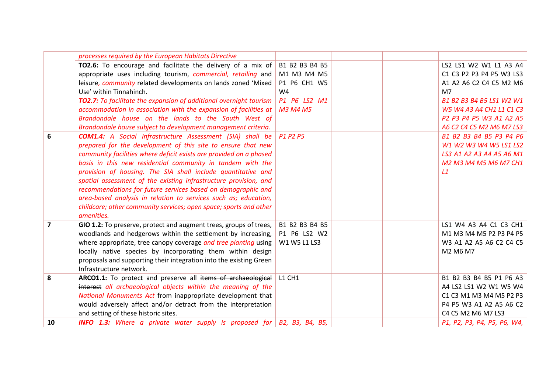|                         | processes required by the European Habitats Directive                            |                |  |                             |
|-------------------------|----------------------------------------------------------------------------------|----------------|--|-----------------------------|
|                         | <b>TO2.6:</b> To encourage and facilitate the delivery of a mix of               | B1 B2 B3 B4 B5 |  | LS2 LS1 W2 W1 L1 A3 A4      |
|                         | appropriate uses including tourism, commercial, retailing and                    | M1 M3 M4 M5    |  | C1 C3 P2 P3 P4 P5 W3 LS3    |
|                         | leisure, community related developments on lands zoned 'Mixed                    | P1 P6 CH1 W5   |  | A1 A2 A6 C2 C4 C5 M2 M6     |
|                         | Use' within Tinnahinch.                                                          | W4             |  | M <sub>7</sub>              |
|                         | TO2.7: To facilitate the expansion of additional overnight tourism               | P1 P6 LS2 M1   |  | B1 B2 B3 B4 B5 LS1 W2 W1    |
|                         | accommodation in association with the expansion of facilities at                 | M3 M4 M5       |  | W5 W4 A3 A4 CH1 L1 C1 C3    |
|                         | Brandondale house on the lands to the South West of                              |                |  | P2 P3 P4 P5 W3 A1 A2 A5     |
|                         | Brandondale house subject to development management criteria.                    |                |  | A6 C2 C4 C5 M2 M6 M7 LS3    |
| 6                       | <b>COM1.4:</b> A Social Infrastructure Assessment (SIA) shall be                 | P1 P2 P5       |  | B1 B2 B3 B4 B5 P3 P4 P6     |
|                         | prepared for the development of this site to ensure that new                     |                |  | W1 W2 W3 W4 W5 LS1 LS2      |
|                         | community facilities where deficit exists are provided on a phased               |                |  | LS3 A1 A2 A3 A4 A5 A6 M1    |
|                         | basis in this new residential community in tandem with the                       |                |  | M2 M3 M4 M5 M6 M7 CH1       |
|                         | provision of housing. The SIA shall include quantitative and                     |                |  | L1                          |
|                         | spatial assessment of the existing infrastructure provision, and                 |                |  |                             |
|                         | recommendations for future services based on demographic and                     |                |  |                             |
|                         | area-based analysis in relation to services such as; education,                  |                |  |                             |
|                         | childcare; other community services; open space; sports and other                |                |  |                             |
|                         | amenities.                                                                       |                |  |                             |
| $\overline{\mathbf{z}}$ | GIO 1.2: To preserve, protect and augment trees, groups of trees,                | B1 B2 B3 B4 B5 |  | LS1 W4 A3 A4 C1 C3 CH1      |
|                         | woodlands and hedgerows within the settlement by increasing,                     | P1 P6 LS2 W2   |  | M1 M3 M4 M5 P2 P3 P4 P5     |
|                         | where appropriate, tree canopy coverage and tree planting using                  | W1 W5 L1 LS3   |  | W3 A1 A2 A5 A6 C2 C4 C5     |
|                         | locally native species by incorporating them within design                       |                |  | M2 M6 M7                    |
|                         | proposals and supporting their integration into the existing Green               |                |  |                             |
|                         | Infrastructure network.                                                          |                |  |                             |
| 8                       | ARCO1.1: To protect and preserve all items of archaeological                     | <b>L1 CH1</b>  |  | B1 B2 B3 B4 B5 P1 P6 A3     |
|                         | interest all archaeological objects within the meaning of the                    |                |  | A4 LS2 LS1 W2 W1 W5 W4      |
|                         | National Monuments Act from inappropriate development that                       |                |  | C1 C3 M1 M3 M4 M5 P2 P3     |
|                         | would adversely affect and/or detract from the interpretation                    |                |  | P4 P5 W3 A1 A2 A5 A6 C2     |
|                         | and setting of these historic sites.                                             |                |  | C4 C5 M2 M6 M7 LS3          |
| 10                      | <b>INFO 1.3:</b> Where a private water supply is proposed for $B2$ , B3, B4, B5, |                |  | P1, P2, P3, P4, P5, P6, W4, |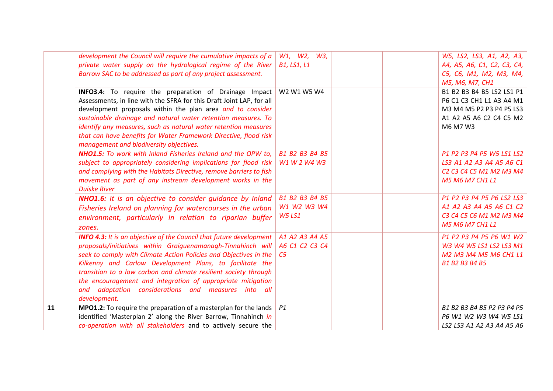|    | development the Council will require the cumulative impacts of a<br>private water supply on the hydrological regime of the River                                                                                                                                                                                                                                                                                                                                                      | W1, W2, W3,<br><b>B1, LS1, L1</b>                  | W5, LS2, LS3, A1, A2, A3,<br>A4, A5, A6, C1, C2, C3, C4,                                                                                                                                                   |
|----|---------------------------------------------------------------------------------------------------------------------------------------------------------------------------------------------------------------------------------------------------------------------------------------------------------------------------------------------------------------------------------------------------------------------------------------------------------------------------------------|----------------------------------------------------|------------------------------------------------------------------------------------------------------------------------------------------------------------------------------------------------------------|
|    | Barrow SAC to be addressed as part of any project assessment.                                                                                                                                                                                                                                                                                                                                                                                                                         |                                                    | C5, C6, M1, M2, M3, M4,<br>M5, M6, M7, CH1                                                                                                                                                                 |
|    | INFO3.4: To require the preparation of Drainage Impact<br>Assessments, in line with the SFRA for this Draft Joint LAP, for all<br>development proposals within the plan area and to consider<br>sustainable drainage and natural water retention measures. To<br>identify any measures, such as natural water retention measures<br>that can have benefits for Water Framework Directive, flood risk                                                                                  | W2 W1 W5 W4                                        | B1 B2 B3 B4 B5 LS2 LS1 P1<br>P6 C1 C3 CH1 L1 A3 A4 M1<br>M3 M4 M5 P2 P3 P4 P5 LS3<br>A1 A2 A5 A6 C2 C4 C5 M2<br>M6 M7 W3                                                                                   |
|    | management and biodiversity objectives.<br><b>NHO1.5:</b> To work with Inland Fisheries Ireland and the OPW to,<br>subject to appropriately considering implications for flood risk<br>and complying with the Habitats Directive, remove barriers to fish<br>movement as part of any instream development works in the<br><b>Duiske River</b>                                                                                                                                         | B1 B2 B3 B4 B5<br>W1 W 2 W4 W3                     | P1 P2 P3 P4 P5 W5 LS1 LS2<br>LS3 A1 A2 A3 A4 A5 A6 C1<br>C <sub>2</sub> C <sub>3</sub> C <sub>4</sub> C <sub>5</sub> M <sub>1</sub> M <sub>2</sub> M <sub>3</sub> M <sub>4</sub><br><b>M5 M6 M7 CH1 L1</b> |
|    | NHO1.6: It is an objective to consider guidance by Inland<br>Fisheries Ireland on planning for watercourses in the urban<br>environment, particularly in relation to riparian buffer<br>zones.                                                                                                                                                                                                                                                                                        | B1 B2 B3 B4 B5<br>W1 W2 W3 W4<br><b>W5 LS1</b>     | P1 P2 P3 P4 P5 P6 LS2 LS3<br>A1 A2 A3 A4 A5 A6 C1 C2<br>C3 C4 C5 C6 M1 M2 M3 M4<br><b>M5 M6 M7 CH1 L1</b>                                                                                                  |
|    | <b>INFO 4.3:</b> It is an objective of the Council that future development<br>proposals/initiatives within Graiguenamanagh-Tinnahinch will<br>seek to comply with Climate Action Policies and Objectives in the<br>Kilkenny and Carlow Development Plans, to facilitate the<br>transition to a low carbon and climate resilient society through<br>the encouragement and integration of appropriate mitigation<br>and adaptation considerations and measures into all<br>development. | A1 A2 A3 A4 A5<br>A6 C1 C2 C3 C4<br>C <sub>5</sub> | P1 P2 P3 P4 P5 P6 W1 W2<br>W3 W4 W5 LS1 LS2 LS3 M1<br>M2 M3 M4 M5 M6 CH1 L1<br><b>B1 B2 B3 B4 B5</b>                                                                                                       |
| 11 | <b>MPO1.2:</b> To require the preparation of a masterplan for the lands $\vert$ P1<br>identified 'Masterplan 2' along the River Barrow, Tinnahinch in<br>co-operation with all stakeholders and to actively secure the                                                                                                                                                                                                                                                                |                                                    | B1 B2 B3 B4 B5 P2 P3 P4 P5<br>P6 W1 W2 W3 W4 W5 LS1<br>LS2 LS3 A1 A2 A3 A4 A5 A6                                                                                                                           |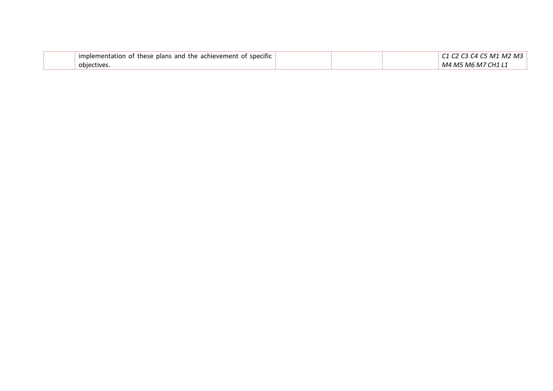| implementation of these plans and the achievement of specific |  | ' M2 M3<br>C5 M1<br>31 A I |
|---------------------------------------------------------------|--|----------------------------|
| objectives                                                    |  | M4 M5 M6 M7 CH1 L1         |